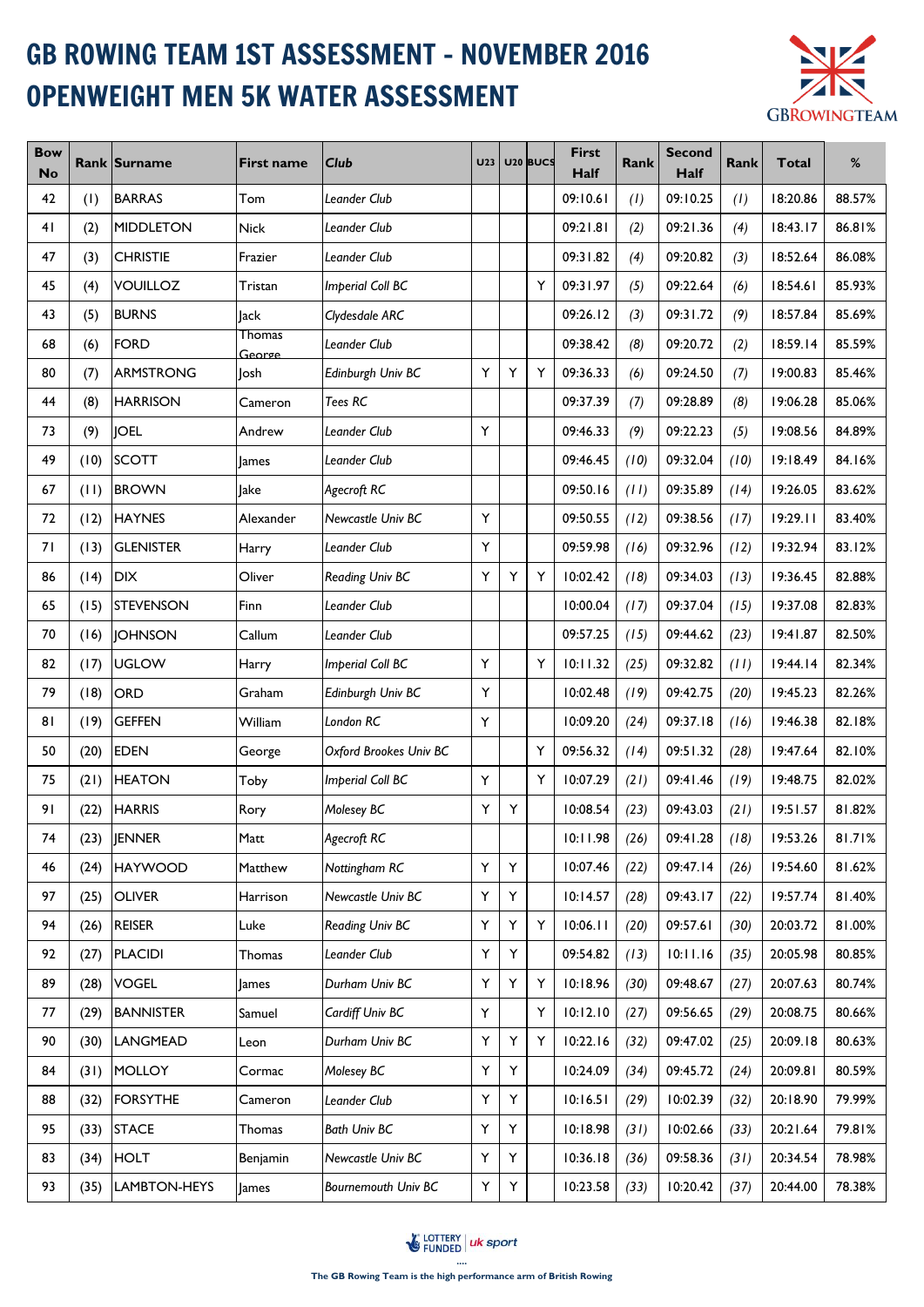## GB ROWING TEAM 1ST ASSESSMENT - NOVEMBER 2016 OPENWEIGHT MEN 5K WATER ASSESSMENT



| <b>Bow</b><br><b>No</b> |      | <b>Rank Surname</b> | <b>First name</b> | <b>Club</b>                | <b>U23</b> |   | U <sub>20</sub> BUCS | <b>First</b><br>Half | <b>Rank</b> | Second<br><b>Half</b> | Rank | <b>Total</b> | %      |
|-------------------------|------|---------------------|-------------------|----------------------------|------------|---|----------------------|----------------------|-------------|-----------------------|------|--------------|--------|
| 42                      | (1)  | <b>BARRAS</b>       | Tom               | Leander Club               |            |   |                      | 09:10.61             | (1)         | 09:10.25              | (1)  | 18:20.86     | 88.57% |
| 41                      | (2)  | <b>MIDDLETON</b>    | <b>Nick</b>       | Leander Club               |            |   |                      | 09:21.81             | (2)         | 09:21.36              | (4)  | 18:43.17     | 86.81% |
| 47                      | (3)  | <b>CHRISTIE</b>     | Frazier           | Leander Club               |            |   |                      | 09:31.82             | (4)         | 09:20.82              | (3)  | 18:52.64     | 86.08% |
| 45                      | (4)  | <b>VOUILLOZ</b>     | Tristan           | <b>Imperial Coll BC</b>    |            |   | Y                    | 09:31.97             | (5)         | 09:22.64              | (6)  | 18:54.61     | 85.93% |
| 43                      | (5)  | <b>BURNS</b>        | Jack              | Clydesdale ARC             |            |   |                      | 09:26.12             | (3)         | 09:31.72              | (9)  | 18:57.84     | 85.69% |
| 68                      | (6)  | <b>FORD</b>         | Thomas<br>George  | Leander Club               |            |   |                      | 09:38.42             | (8)         | 09:20.72              | (2)  | 18:59.14     | 85.59% |
| 80                      | (7)  | <b>ARMSTRONG</b>    | Josh              | Edinburgh Univ BC          | Y          | Υ | Y                    | 09:36.33             | (6)         | 09:24.50              | (7)  | 19:00.83     | 85.46% |
| 44                      | (8)  | <b>HARRISON</b>     | Cameron           | Tees RC                    |            |   |                      | 09:37.39             | (7)         | 09:28.89              | (8)  | 19:06.28     | 85.06% |
| 73                      | (9)  | <b>JOEL</b>         | Andrew            | Leander Club               | Y          |   |                      | 09:46.33             | (9)         | 09:22.23              | (5)  | 19:08.56     | 84.89% |
| 49                      | (10) | <b>SCOTT</b>        | <b>James</b>      | Leander Club               |            |   |                      | 09:46.45             | (10)        | 09:32.04              | (10) | 19:18.49     | 84.16% |
| 67                      | (11) | <b>BROWN</b>        | Jake              | Agecroft RC                |            |   |                      | 09:50.16             | (11)        | 09:35.89              | (14) | 19:26.05     | 83.62% |
| 72                      | (12) | <b>HAYNES</b>       | Alexander         | Newcastle Univ BC          | Y          |   |                      | 09:50.55             | (12)        | 09:38.56              | (17) | 19:29.11     | 83.40% |
| 71                      | (13) | <b>GLENISTER</b>    | Harry             | Leander Club               | Υ          |   |                      | 09:59.98             | (16)        | 09:32.96              | (12) | 19:32.94     | 83.12% |
| 86                      | (14) | <b>DIX</b>          | Oliver            | Reading Univ BC            | Y          | Y | Y                    | 10:02.42             | (18)        | 09:34.03              | (13) | 19:36.45     | 82.88% |
| 65                      | (15) | <b>STEVENSON</b>    | Finn              | Leander Club               |            |   |                      | 10:00.04             | (17)        | 09:37.04              | (15) | 19:37.08     | 82.83% |
| 70                      | (16) | <b>JOHNSON</b>      | Callum            | Leander Club               |            |   |                      | 09:57.25             | (15)        | 09:44.62              | (23) | 19:41.87     | 82.50% |
| 82                      | (17) | <b>UGLOW</b>        | Harry             | <b>Imperial Coll BC</b>    | Y          |   | Υ                    | 10:11.32             | (25)        | 09:32.82              | (11) | 19:44.14     | 82.34% |
| 79                      | (18) | <b>ORD</b>          | Graham            | Edinburgh Univ BC          | Y          |   |                      | 10:02.48             | (19)        | 09:42.75              | (20) | 19:45.23     | 82.26% |
| 81                      | (19) | <b>GEFFEN</b>       | William           | London RC                  | Y          |   |                      | 10:09.20             | (24)        | 09:37.18              | (16) | 19:46.38     | 82.18% |
| 50                      | (20) | <b>EDEN</b>         | George            | Oxford Brookes Univ BC     |            |   | Y                    | 09:56.32             | (14)        | 09:51.32              | (28) | 19:47.64     | 82.10% |
| 75                      | (21) | <b>HEATON</b>       | Toby              | <b>Imperial Coll BC</b>    | Y          |   | Y                    | 10:07.29             | (21)        | 09:41.46              | (19) | 19:48.75     | 82.02% |
| 91                      | (22) | <b>HARRIS</b>       | Rory              | Molesey BC                 | Y          | Y |                      | 10:08.54             | (23)        | 09:43.03              | (21) | 19:51.57     | 81.82% |
| 74                      |      | $(23)$ JENNER       | Matt              | Agecroft RC                |            |   |                      | 10:11.98             | (26)        | 09:41.28              | (18) | 19:53.26     | 81.71% |
| 46                      | (24) | <b>HAYWOOD</b>      | Matthew           | Nottingham RC              | Υ          | Υ |                      | 10:07.46             | (22)        | 09:47.14              | (26) | 19:54.60     | 81.62% |
| 97                      | (25) | <b>OLIVER</b>       | Harrison          | Newcastle Univ BC          | Y          | Y |                      | 10:14.57             | (28)        | 09:43.17              | (22) | 19:57.74     | 81.40% |
| 94                      | (26) | <b>REISER</b>       | Luke              | Reading Univ BC            | Y          | Υ | Υ                    | 10:06.11             | (20)        | 09:57.61              | (30) | 20:03.72     | 81.00% |
| 92                      | (27) | <b>PLACIDI</b>      | Thomas            | Leander Club               | Y          | Y |                      | 09:54.82             | (13)        | 10:11.16              | (35) | 20:05.98     | 80.85% |
| 89                      | (28) | <b>VOGEL</b>        | <b>James</b>      | Durham Univ BC             | Y          | Y | Υ                    | 10:18.96             | (30)        | 09:48.67              | (27) | 20:07.63     | 80.74% |
| 77                      | (29) | <b>BANNISTER</b>    | Samuel            | Cardiff Univ BC            | Y          |   | Υ                    | 10:12.10             | (27)        | 09:56.65              | (29) | 20:08.75     | 80.66% |
| 90                      | (30) | LANGMEAD            | Leon              | Durham Univ BC             | Y.         | Υ | Υ                    | 10:22.16             | (32)        | 09:47.02              | (25) | 20:09.18     | 80.63% |
| 84                      | (31) | <b>MOLLOY</b>       | Cormac            | Molesey BC                 | Y          | Υ |                      | 10:24.09             | (34)        | 09:45.72              | (24) | 20:09.81     | 80.59% |
| 88                      | (32) | <b>FORSYTHE</b>     | Cameron           | Leander Club               | Υ          | Υ |                      | 10:16.51             | (29)        | 10:02.39              | (32) | 20:18.90     | 79.99% |
| 95                      | (33) | <b>STACE</b>        | Thomas            | <b>Bath Univ BC</b>        | Y          | Y |                      | 10:18.98             | (31)        | 10:02.66              | (33) | 20:21.64     | 79.81% |
| 83                      | (34) | <b>HOLT</b>         | Benjamin          | Newcastle Univ BC          | Y          | Υ |                      | 10:36.18             | (36)        | 09:58.36              | (31) | 20:34.54     | 78.98% |
| 93                      | (35) | LAMBTON-HEYS        | James             | <b>Bournemouth Univ BC</b> | Y.         | Y |                      | 10:23.58             | (33)        | 10:20.42              | (37) | 20:44.00     | 78.38% |